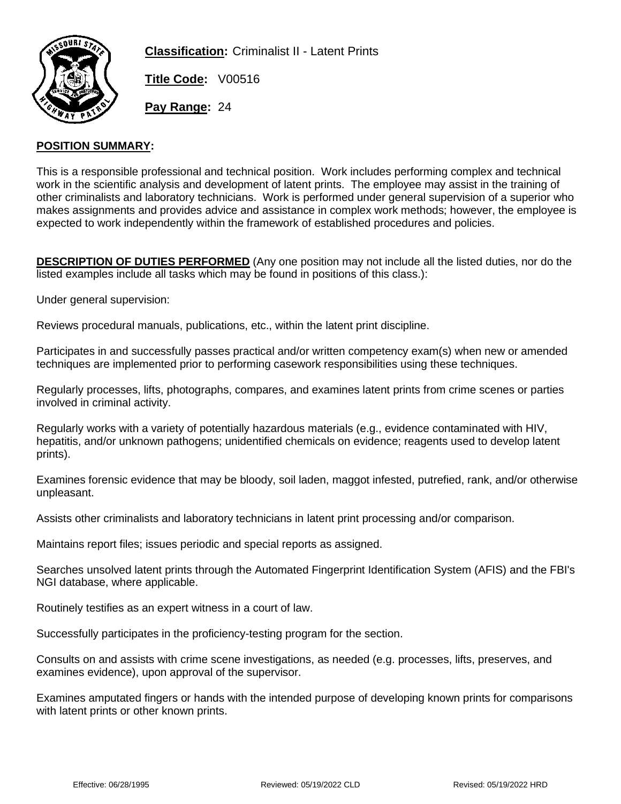

**Classification:** Criminalist II - Latent Prints

**Title Code:** V00516

**Pay Range:** 24

## **POSITION SUMMARY:**

This is a responsible professional and technical position. Work includes performing complex and technical work in the scientific analysis and development of latent prints. The employee may assist in the training of other criminalists and laboratory technicians. Work is performed under general supervision of a superior who makes assignments and provides advice and assistance in complex work methods; however, the employee is expected to work independently within the framework of established procedures and policies.

**DESCRIPTION OF DUTIES PERFORMED** (Any one position may not include all the listed duties, nor do the listed examples include all tasks which may be found in positions of this class.):

Under general supervision:

Reviews procedural manuals, publications, etc., within the latent print discipline.

Participates in and successfully passes practical and/or written competency exam(s) when new or amended techniques are implemented prior to performing casework responsibilities using these techniques.

Regularly processes, lifts, photographs, compares, and examines latent prints from crime scenes or parties involved in criminal activity.

Regularly works with a variety of potentially hazardous materials (e.g., evidence contaminated with HIV, hepatitis, and/or unknown pathogens; unidentified chemicals on evidence; reagents used to develop latent prints).

Examines forensic evidence that may be bloody, soil laden, maggot infested, putrefied, rank, and/or otherwise unpleasant.

Assists other criminalists and laboratory technicians in latent print processing and/or comparison.

Maintains report files; issues periodic and special reports as assigned.

Searches unsolved latent prints through the Automated Fingerprint Identification System (AFIS) and the FBI's NGI database, where applicable.

Routinely testifies as an expert witness in a court of law.

Successfully participates in the proficiency-testing program for the section.

Consults on and assists with crime scene investigations, as needed (e.g. processes, lifts, preserves, and examines evidence), upon approval of the supervisor.

Examines amputated fingers or hands with the intended purpose of developing known prints for comparisons with latent prints or other known prints.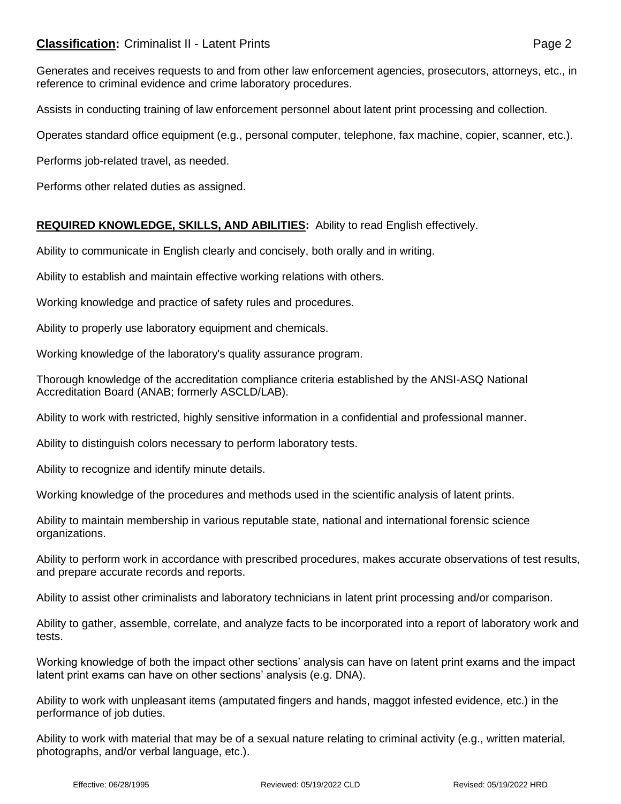# **Classification:** Criminalist II - Latent Prints **Classification:** Page 2

Generates and receives requests to and from other law enforcement agencies, prosecutors, attorneys, etc., in reference to criminal evidence and crime laboratory procedures.

Assists in conducting training of law enforcement personnel about latent print processing and collection.

Operates standard office equipment (e.g., personal computer, telephone, fax machine, copier, scanner, etc.).

Performs job-related travel, as needed.

Performs other related duties as assigned.

## **REQUIRED KNOWLEDGE, SKILLS, AND ABILITIES:** Ability to read English effectively.

Ability to communicate in English clearly and concisely, both orally and in writing.

Ability to establish and maintain effective working relations with others.

Working knowledge and practice of safety rules and procedures.

Ability to properly use laboratory equipment and chemicals.

Working knowledge of the laboratory's quality assurance program.

Thorough knowledge of the accreditation compliance criteria established by the ANSI-ASQ National Accreditation Board (ANAB; formerly ASCLD/LAB).

Ability to work with restricted, highly sensitive information in a confidential and professional manner.

Ability to distinguish colors necessary to perform laboratory tests.

Ability to recognize and identify minute details.

Working knowledge of the procedures and methods used in the scientific analysis of latent prints.

Ability to maintain membership in various reputable state, national and international forensic science organizations.

Ability to perform work in accordance with prescribed procedures, makes accurate observations of test results, and prepare accurate records and reports.

Ability to assist other criminalists and laboratory technicians in latent print processing and/or comparison.

Ability to gather, assemble, correlate, and analyze facts to be incorporated into a report of laboratory work and tests.

Working knowledge of both the impact other sections' analysis can have on latent print exams and the impact latent print exams can have on other sections' analysis (e.g. DNA).

Ability to work with unpleasant items (amputated fingers and hands, maggot infested evidence, etc.) in the performance of job duties.

Ability to work with material that may be of a sexual nature relating to criminal activity (e.g., written material, photographs, and/or verbal language, etc.).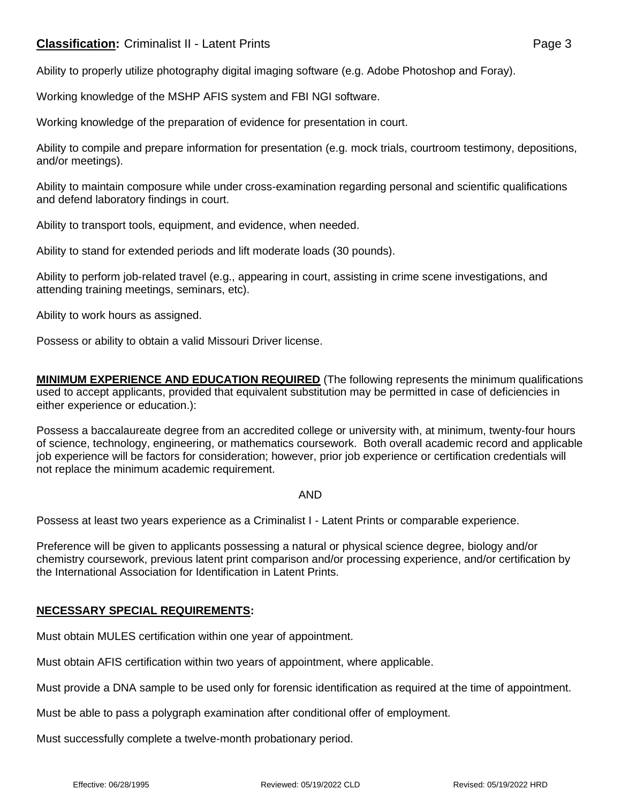# **Classification:** Criminalist II - Latent Prints **Classification:** Page 3

Ability to properly utilize photography digital imaging software (e.g. Adobe Photoshop and Foray).

Working knowledge of the MSHP AFIS system and FBI NGI software.

Working knowledge of the preparation of evidence for presentation in court.

Ability to compile and prepare information for presentation (e.g. mock trials, courtroom testimony, depositions, and/or meetings).

Ability to maintain composure while under cross-examination regarding personal and scientific qualifications and defend laboratory findings in court.

Ability to transport tools, equipment, and evidence, when needed.

Ability to stand for extended periods and lift moderate loads (30 pounds).

Ability to perform job-related travel (e.g., appearing in court, assisting in crime scene investigations, and attending training meetings, seminars, etc).

Ability to work hours as assigned.

Possess or ability to obtain a valid Missouri Driver license.

**MINIMUM EXPERIENCE AND EDUCATION REQUIRED** (The following represents the minimum qualifications used to accept applicants, provided that equivalent substitution may be permitted in case of deficiencies in either experience or education.):

Possess a baccalaureate degree from an accredited college or university with, at minimum, twenty-four hours of science, technology, engineering, or mathematics coursework. Both overall academic record and applicable job experience will be factors for consideration; however, prior job experience or certification credentials will not replace the minimum academic requirement.

AND

Possess at least two years experience as a Criminalist I - Latent Prints or comparable experience.

Preference will be given to applicants possessing a natural or physical science degree, biology and/or chemistry coursework, previous latent print comparison and/or processing experience, and/or certification by the International Association for Identification in Latent Prints.

## **NECESSARY SPECIAL REQUIREMENTS:**

Must obtain MULES certification within one year of appointment.

Must obtain AFIS certification within two years of appointment, where applicable.

Must provide a DNA sample to be used only for forensic identification as required at the time of appointment.

Must be able to pass a polygraph examination after conditional offer of employment.

Must successfully complete a twelve-month probationary period.